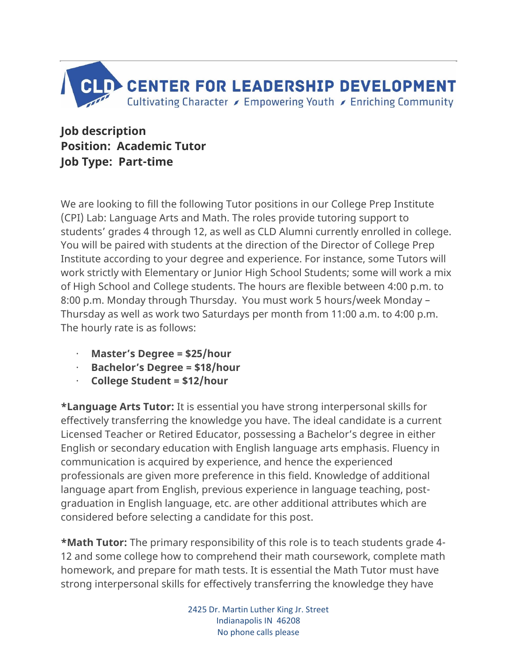

**Job description Position: Academic Tutor Job Type: Part-time**

We are looking to fill the following Tutor positions in our College Prep Institute (CPI) Lab: Language Arts and Math. The roles provide tutoring support to students' grades 4 through 12, as well as CLD Alumni currently enrolled in college. You will be paired with students at the direction of the Director of College Prep Institute according to your degree and experience. For instance, some Tutors will work strictly with Elementary or Junior High School Students; some will work a mix of High School and College students. The hours are flexible between 4:00 p.m. to 8:00 p.m. Monday through Thursday. You must work 5 hours/week Monday – Thursday as well as work two Saturdays per month from 11:00 a.m. to 4:00 p.m. The hourly rate is as follows:

- · **Master's Degree = \$25/hour**
- · **Bachelor's Degree = \$18/hour**
- · **College Student = \$12/hour**

**\*Language Arts Tutor:** It is essential you have strong interpersonal skills for effectively transferring the knowledge you have. The ideal candidate is a current Licensed Teacher or Retired Educator, possessing a Bachelor's degree in either English or secondary education with English language arts emphasis. Fluency in communication is acquired by experience, and hence the experienced professionals are given more preference in this field. Knowledge of additional language apart from English, previous experience in language teaching, postgraduation in English language, etc. are other additional attributes which are considered before selecting a candidate for this post.

**\*Math Tutor:** The primary responsibility of this role is to teach students grade 4- 12 and some college how to comprehend their math coursework, complete math homework, and prepare for math tests. It is essential the Math Tutor must have strong interpersonal skills for effectively transferring the knowledge they have

> 2425 Dr. Martin Luther King Jr. Street Indianapolis IN 46208 No phone calls please